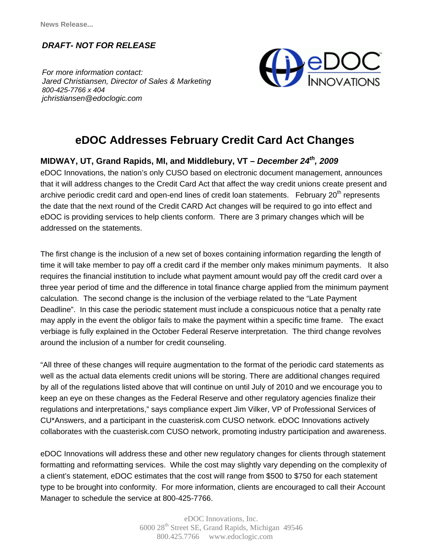*DRAFT- NOT FOR RELEASE*

addressed on the statements.

 *jchristiansen@edoclogic.com For more information contact: Jared Christiansen, Director of Sales & Marketing 800-425-7766 x 404* 



## **eDOC Addresses February Credit Card Act Changes**

**MIDWAY, UT, Grand Rapids, MI, and Middlebury, VT – December 24<sup>th</sup>, 2009** eDOC Innovations, the nation's only CUSO based on electronic document management, announces that it will address changes to the Credit Card Act that affect the way credit unions create present and archive periodic credit card and open-end lines of credit loan statements. February  $20<sup>th</sup>$  represents the date that the next round of the Credit CARD Act changes will be required to go into effect and eDOC is providing services to help clients conform. There are 3 primary changes which will be

The first change is the inclusion of a new set of boxes containing information regarding the length of time it will take member to pay off a credit card if the member only makes minimum payments. It also requires the financial institution to include what payment amount would pay off the credit card over a three year period of time and the difference in total finance charge applied from the minimum payment calculation. The second change is the inclusion of the verbiage related to the "Late Payment Deadline". In this case the periodic statement must include a conspicuous notice that a penalty rate may apply in the event the obligor fails to make the payment within a specific time frame. The exact verbiage is fully explained in the October Federal Reserve interpretation. The third change revolves around the inclusion of a number for credit counseling.

"All three of these changes will require augmentation to the format of the periodic card statements as well as the actual data elements credit unions will be storing. There are additional changes required by all of the regulations listed above that will continue on until July of 2010 and we encourage you to keep an eye on these changes as the Federal Reserve and other regulatory agencies finalize their regulations and interpretations," says compliance expert Jim Vilker, VP of Professional Services of CU\*Answers, and a participant in the cuasterisk.com CUSO network. eDOC Innovations actively collaborates with the cuasterisk.com CUSO network, promoting industry participation and awareness.

eDOC Innovations will address these and other new regulatory changes for clients through statement formatting and reformatting services. While the cost may slightly vary depending on the complexity of a client's statement, eDOC estimates that the cost will range from \$500 to \$750 for each statement type to be brought into conformity. For more information, clients are encouraged to call their Account Manager to schedule the service at 800-425-7766.